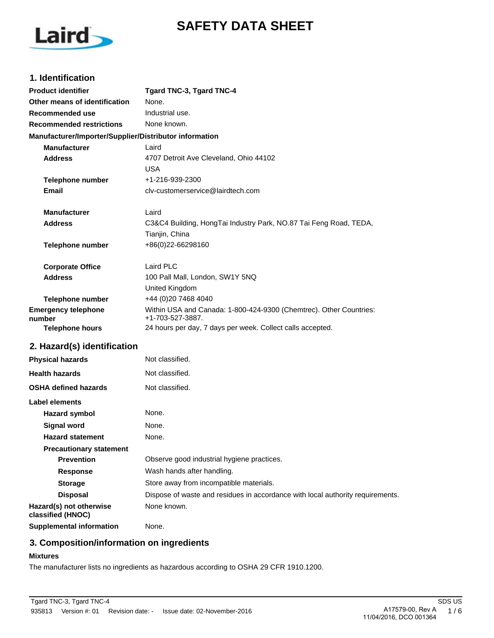# **SAFETY DATA SHEET**



## **1. Identification**

| <b>Product identifier</b>                              | Tgard TNC-3, Tgard TNC-4                                                               |
|--------------------------------------------------------|----------------------------------------------------------------------------------------|
| Other means of identification                          | None.                                                                                  |
| <b>Recommended use</b>                                 | Industrial use.                                                                        |
| <b>Recommended restrictions</b>                        | None known.                                                                            |
| Manufacturer/Importer/Supplier/Distributor information |                                                                                        |
| <b>Manufacturer</b>                                    | Laird                                                                                  |
| <b>Address</b>                                         | 4707 Detroit Ave Cleveland, Ohio 44102                                                 |
|                                                        | <b>USA</b>                                                                             |
| <b>Telephone number</b>                                | +1-216-939-2300                                                                        |
| Email                                                  | cly-customerservice@lairdtech.com                                                      |
| <b>Manufacturer</b>                                    | Laird                                                                                  |
| <b>Address</b>                                         | C3&C4 Building, HongTai Industry Park, NO.87 Tai Feng Road, TEDA,                      |
|                                                        | Tianjin, China                                                                         |
| <b>Telephone number</b>                                | +86(0)22-66298160                                                                      |
| <b>Corporate Office</b>                                | Laird PLC                                                                              |
| <b>Address</b>                                         | 100 Pall Mall, London, SW1Y 5NQ                                                        |
|                                                        | United Kingdom                                                                         |
| <b>Telephone number</b>                                | +44 (0)20 7468 4040                                                                    |
| <b>Emergency telephone</b><br>number                   | Within USA and Canada: 1-800-424-9300 (Chemtrec). Other Countries:<br>+1-703-527-3887. |
| <b>Telephone hours</b>                                 | 24 hours per day, 7 days per week. Collect calls accepted.                             |
| 2. Hazard(s) identification                            |                                                                                        |
| <b>Physical hazards</b>                                | Not classified.                                                                        |
| <b>Health hazards</b>                                  | Not classified.                                                                        |
| <b>OSHA defined hazards</b>                            | Not classified.                                                                        |
| Label elements                                         |                                                                                        |
| <b>Hazard symbol</b>                                   | None.                                                                                  |
| <b>Signal word</b>                                     | None.                                                                                  |
| <b>Hazard statement</b>                                | None.                                                                                  |
| <b>Precautionary statement</b>                         |                                                                                        |
| <b>Prevention</b>                                      | Observe good industrial hygiene practices.                                             |
| <b>Response</b>                                        | Wash hands after handling.                                                             |
| <b>Storage</b>                                         | Store away from incompatible materials.                                                |
| <b>Disposal</b>                                        | Dispose of waste and residues in accordance with local authority requirements.         |
| Hazard(s) not otherwise<br>classified (HNOC)           | None known.                                                                            |

**Supplemental information** None.

## **3. Composition/information on ingredients**

#### **Mixtures**

The manufacturer lists no ingredients as hazardous according to OSHA 29 CFR 1910.1200.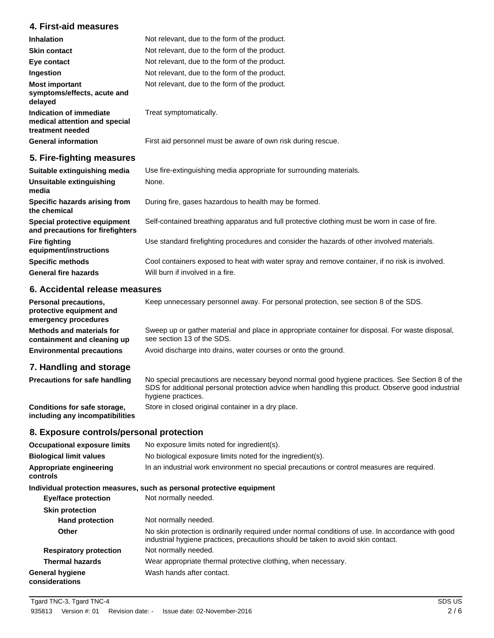## **4. First-aid measures**

| <b>Inhalation</b>                                                            | Not relevant, due to the form of the product.                       |
|------------------------------------------------------------------------------|---------------------------------------------------------------------|
| <b>Skin contact</b>                                                          | Not relevant, due to the form of the product.                       |
| Eye contact                                                                  | Not relevant, due to the form of the product.                       |
| Ingestion                                                                    | Not relevant, due to the form of the product.                       |
| <b>Most important</b><br>symptoms/effects, acute and<br>delayed              | Not relevant, due to the form of the product.                       |
| Indication of immediate<br>medical attention and special<br>treatment needed | Treat symptomatically.                                              |
| <b>General information</b>                                                   | First aid personnel must be aware of own risk during rescue.        |
| 5. Fire-fighting measures                                                    |                                                                     |
| Suitable extinguishing media                                                 | Use fire-extinguishing media appropriate for surrounding materials. |
| Unsuitable extinguishing<br>media                                            | None.                                                               |
| Specific hazards arising from<br>the chemical                                | During fire, gases hazardous to health may be formed.               |

**Special protective equipment** Self-contained breathing apparatus and full protective clothing must be worn in case of fire. **and precautions for firefighters Fire fighting** Use standard firefighting procedures and consider the hazards of other involved materials. **equipment/instructions**

**Specific methods** Cool containers exposed to heat with water spray and remove container, if no risk is involved. **General fire hazards** Will burn if involved in a fire.

## **6. Accidental release measures**

| Keep unnecessary personnel away. For personal protection, see section 8 of the SDS.                                            |
|--------------------------------------------------------------------------------------------------------------------------------|
| Sweep up or gather material and place in appropriate container for disposal. For waste disposal,<br>see section 13 of the SDS. |
| Avoid discharge into drains, water courses or onto the ground.                                                                 |
|                                                                                                                                |

## **7. Handling and storage**

| <b>Precautions for safe handling</b>                            | No special precautions are necessary beyond normal good hygiene practices. See Section 8 of the<br>SDS for additional personal protection advice when handling this product. Observe good industrial<br>hygiene practices. |
|-----------------------------------------------------------------|----------------------------------------------------------------------------------------------------------------------------------------------------------------------------------------------------------------------------|
| Conditions for safe storage,<br>including any incompatibilities | Store in closed original container in a dry place.                                                                                                                                                                         |

#### **8. Exposure controls/personal protection**

| <b>Occupational exposure limits</b>      | No exposure limits noted for ingredient(s).                                                                                                                                           |  |
|------------------------------------------|---------------------------------------------------------------------------------------------------------------------------------------------------------------------------------------|--|
| <b>Biological limit values</b>           | No biological exposure limits noted for the ingredient(s).                                                                                                                            |  |
| Appropriate engineering<br>controls      | In an industrial work environment no special precautions or control measures are required.                                                                                            |  |
|                                          | Individual protection measures, such as personal protective equipment                                                                                                                 |  |
| <b>Eye/face protection</b>               | Not normally needed.                                                                                                                                                                  |  |
| <b>Skin protection</b>                   |                                                                                                                                                                                       |  |
| <b>Hand protection</b>                   | Not normally needed.                                                                                                                                                                  |  |
| Other                                    | No skin protection is ordinarily required under normal conditions of use. In accordance with good<br>industrial hygiene practices, precautions should be taken to avoid skin contact. |  |
| <b>Respiratory protection</b>            | Not normally needed.                                                                                                                                                                  |  |
| <b>Thermal hazards</b>                   | Wear appropriate thermal protective clothing, when necessary.                                                                                                                         |  |
| <b>General hygiene</b><br>considerations | Wash hands after contact.                                                                                                                                                             |  |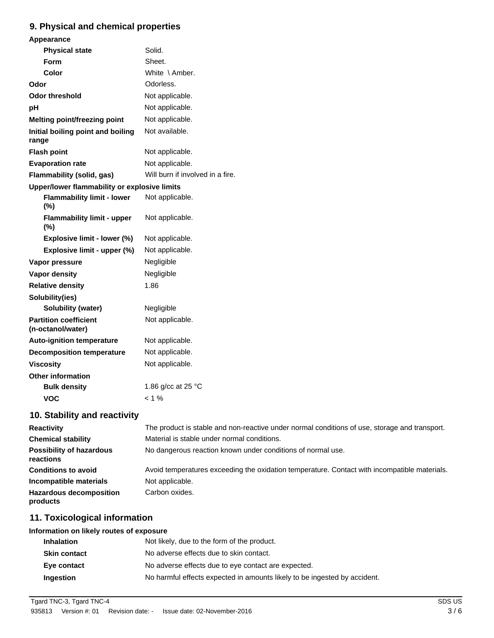# **9. Physical and chemical properties**

| 9. Physical and chemical properties               |                                                                                               |
|---------------------------------------------------|-----------------------------------------------------------------------------------------------|
| Appearance                                        |                                                                                               |
| <b>Physical state</b>                             | Solid.                                                                                        |
| <b>Form</b>                                       | Sheet.                                                                                        |
| Color                                             | White \ Amber.                                                                                |
| Odor                                              | Odorless.                                                                                     |
| <b>Odor threshold</b>                             | Not applicable.                                                                               |
| рH                                                | Not applicable.                                                                               |
| <b>Melting point/freezing point</b>               | Not applicable.                                                                               |
| Initial boiling point and boiling<br>range        | Not available.                                                                                |
| <b>Flash point</b>                                | Not applicable.                                                                               |
| <b>Evaporation rate</b>                           | Not applicable.                                                                               |
| Flammability (solid, gas)                         | Will burn if involved in a fire.                                                              |
| Upper/lower flammability or explosive limits      |                                                                                               |
| <b>Flammability limit - lower</b><br>(%)          | Not applicable.                                                                               |
| <b>Flammability limit - upper</b><br>(%)          | Not applicable.                                                                               |
| Explosive limit - lower (%)                       | Not applicable.                                                                               |
| Explosive limit - upper (%)                       | Not applicable.                                                                               |
| Vapor pressure                                    | Negligible                                                                                    |
| <b>Vapor density</b>                              | Negligible                                                                                    |
| <b>Relative density</b>                           | 1.86                                                                                          |
| Solubility(ies)                                   |                                                                                               |
| <b>Solubility (water)</b>                         | Negligible                                                                                    |
| <b>Partition coefficient</b><br>(n-octanol/water) | Not applicable.                                                                               |
| <b>Auto-ignition temperature</b>                  | Not applicable.                                                                               |
| <b>Decomposition temperature</b>                  | Not applicable.                                                                               |
| <b>Viscosity</b>                                  | Not applicable.                                                                               |
| <b>Other information</b>                          |                                                                                               |
| <b>Bulk density</b>                               | 1.86 g/cc at 25 °C                                                                            |
| <b>VOC</b>                                        | $< 1 \%$                                                                                      |
| 10. Stability and reactivity                      |                                                                                               |
| <b>Reactivity</b>                                 | The product is stable and non-reactive under normal conditions of use, storage and transport. |
| <b>Chemical stability</b>                         | Material is stable under normal conditions.                                                   |
| <b>Possibility of hazardous</b><br>reactions      | No dangerous reaction known under conditions of normal use.                                   |
| <b>Conditions to avoid</b>                        | Avoid temperatures exceeding the oxidation temperature. Contact with incompatible materials.  |

**Incompatible materials** Not applicable. **Hazardous decomposition** Carbon oxides. **products**

# **11. Toxicological information**

#### **Information on likely routes of exposure**

| <b>Inhalation</b>   | Not likely, due to the form of the product.                               |  |
|---------------------|---------------------------------------------------------------------------|--|
| <b>Skin contact</b> | No adverse effects due to skin contact.                                   |  |
| Eye contact         | No adverse effects due to eye contact are expected.                       |  |
| Ingestion           | No harmful effects expected in amounts likely to be ingested by accident. |  |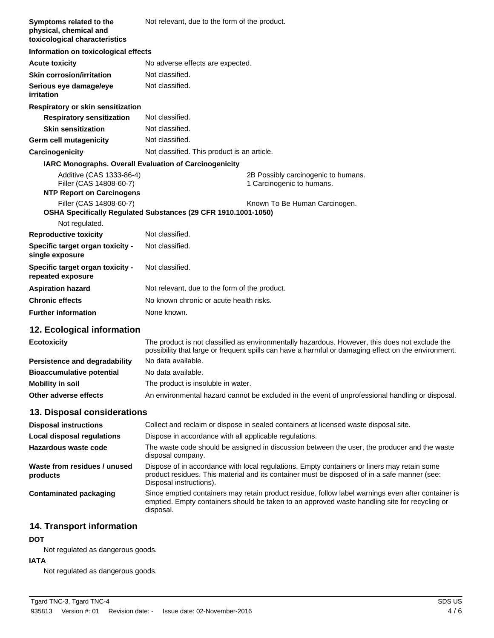| Symptoms related to the<br>physical, chemical and<br>toxicological characteristics      | Not relevant, due to the form of the product.                                                                                                                                                         |                                                                  |
|-----------------------------------------------------------------------------------------|-------------------------------------------------------------------------------------------------------------------------------------------------------------------------------------------------------|------------------------------------------------------------------|
| Information on toxicological effects                                                    |                                                                                                                                                                                                       |                                                                  |
| <b>Acute toxicity</b>                                                                   | No adverse effects are expected.                                                                                                                                                                      |                                                                  |
| <b>Skin corrosion/irritation</b>                                                        | Not classified.                                                                                                                                                                                       |                                                                  |
| Serious eye damage/eye<br><i>irritation</i>                                             | Not classified.                                                                                                                                                                                       |                                                                  |
| Respiratory or skin sensitization                                                       |                                                                                                                                                                                                       |                                                                  |
| <b>Respiratory sensitization</b>                                                        | Not classified.                                                                                                                                                                                       |                                                                  |
| <b>Skin sensitization</b>                                                               | Not classified.                                                                                                                                                                                       |                                                                  |
| Germ cell mutagenicity                                                                  | Not classified.                                                                                                                                                                                       |                                                                  |
| Carcinogenicity                                                                         | Not classified. This product is an article.                                                                                                                                                           |                                                                  |
| <b>IARC Monographs. Overall Evaluation of Carcinogenicity</b>                           |                                                                                                                                                                                                       |                                                                  |
| Additive (CAS 1333-86-4)<br>Filler (CAS 14808-60-7)<br><b>NTP Report on Carcinogens</b> |                                                                                                                                                                                                       | 2B Possibly carcinogenic to humans.<br>1 Carcinogenic to humans. |
| Filler (CAS 14808-60-7)                                                                 |                                                                                                                                                                                                       | Known To Be Human Carcinogen.                                    |
|                                                                                         | OSHA Specifically Regulated Substances (29 CFR 1910.1001-1050)                                                                                                                                        |                                                                  |
| Not regulated.                                                                          |                                                                                                                                                                                                       |                                                                  |
| <b>Reproductive toxicity</b>                                                            | Not classified.                                                                                                                                                                                       |                                                                  |
| Specific target organ toxicity -<br>single exposure                                     | Not classified.                                                                                                                                                                                       |                                                                  |
| Specific target organ toxicity -<br>repeated exposure                                   | Not classified.                                                                                                                                                                                       |                                                                  |
| <b>Aspiration hazard</b>                                                                | Not relevant, due to the form of the product.                                                                                                                                                         |                                                                  |
| <b>Chronic effects</b>                                                                  | No known chronic or acute health risks.                                                                                                                                                               |                                                                  |
| <b>Further information</b>                                                              | None known.                                                                                                                                                                                           |                                                                  |
| 12. Ecological information                                                              |                                                                                                                                                                                                       |                                                                  |
| <b>Ecotoxicity</b>                                                                      | The product is not classified as environmentally hazardous. However, this does not exclude the<br>possibility that large or frequent spills can have a harmful or damaging effect on the environment. |                                                                  |
| <b>Persistence and degradability</b>                                                    | No data available.                                                                                                                                                                                    |                                                                  |
| <b>Bioaccumulative potential</b>                                                        | No data available.                                                                                                                                                                                    |                                                                  |
| <b>Mobility in soil</b>                                                                 | The product is insoluble in water.                                                                                                                                                                    |                                                                  |
| Other adverse effects                                                                   | An environmental hazard cannot be excluded in the event of unprofessional handling or disposal.                                                                                                       |                                                                  |

# **13. Disposal considerations**

| <b>Disposal instructions</b>             | Collect and reclaim or dispose in sealed containers at licensed waste disposal site.                                                                                                                                   |  |
|------------------------------------------|------------------------------------------------------------------------------------------------------------------------------------------------------------------------------------------------------------------------|--|
| <b>Local disposal regulations</b>        | Dispose in accordance with all applicable regulations.                                                                                                                                                                 |  |
| Hazardous waste code                     | The waste code should be assigned in discussion between the user, the producer and the waste<br>disposal company.                                                                                                      |  |
| Waste from residues / unused<br>products | Dispose of in accordance with local regulations. Empty containers or liners may retain some<br>product residues. This material and its container must be disposed of in a safe manner (see:<br>Disposal instructions). |  |
| <b>Contaminated packaging</b>            | Since emptied containers may retain product residue, follow label warnings even after container is<br>emptied. Empty containers should be taken to an approved waste handling site for recycling or<br>disposal.       |  |

# **14. Transport information**

#### **DOT**

Not regulated as dangerous goods.

#### **IATA**

Not regulated as dangerous goods.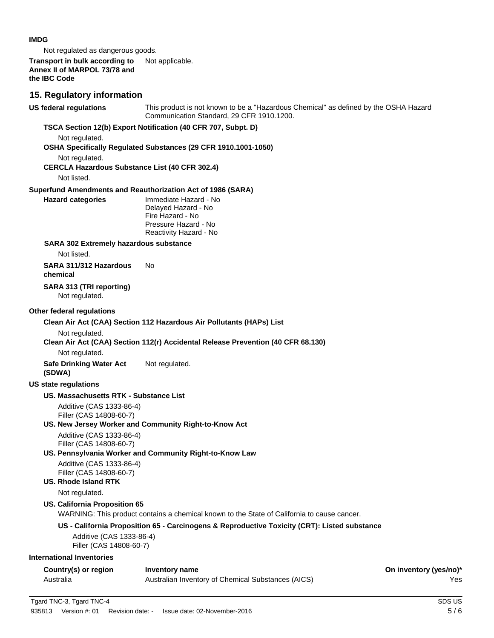#### **IMDG**

Not regulated as dangerous goods.

#### **Transport in bulk according to** Not applicable. **Annex II of MARPOL 73/78 and the IBC Code**

# **15. Regulatory information**

| $19.109$ 90000 1                                                            | "" """""                                                                                                                          |                        |
|-----------------------------------------------------------------------------|-----------------------------------------------------------------------------------------------------------------------------------|------------------------|
| US federal regulations                                                      | This product is not known to be a "Hazardous Chemical" as defined by the OSHA Hazard<br>Communication Standard, 29 CFR 1910.1200. |                        |
|                                                                             | TSCA Section 12(b) Export Notification (40 CFR 707, Subpt. D)                                                                     |                        |
| Not regulated.                                                              |                                                                                                                                   |                        |
|                                                                             | OSHA Specifically Regulated Substances (29 CFR 1910.1001-1050)                                                                    |                        |
| Not regulated.                                                              | <b>CERCLA Hazardous Substance List (40 CFR 302.4)</b>                                                                             |                        |
| Not listed.                                                                 |                                                                                                                                   |                        |
|                                                                             | Superfund Amendments and Reauthorization Act of 1986 (SARA)                                                                       |                        |
| <b>Hazard categories</b>                                                    | Immediate Hazard - No<br>Delayed Hazard - No<br>Fire Hazard - No<br>Pressure Hazard - No<br>Reactivity Hazard - No                |                        |
|                                                                             | SARA 302 Extremely hazardous substance                                                                                            |                        |
| Not listed.                                                                 |                                                                                                                                   |                        |
| SARA 311/312 Hazardous<br>chemical                                          | No                                                                                                                                |                        |
| SARA 313 (TRI reporting)<br>Not regulated.                                  |                                                                                                                                   |                        |
| Other federal regulations                                                   |                                                                                                                                   |                        |
|                                                                             | Clean Air Act (CAA) Section 112 Hazardous Air Pollutants (HAPs) List                                                              |                        |
| Not regulated.                                                              | Clean Air Act (CAA) Section 112(r) Accidental Release Prevention (40 CFR 68.130)                                                  |                        |
| Not regulated.                                                              |                                                                                                                                   |                        |
| <b>Safe Drinking Water Act</b><br>(SDWA)                                    | Not regulated.                                                                                                                    |                        |
| <b>US state regulations</b>                                                 |                                                                                                                                   |                        |
| US. Massachusetts RTK - Substance List                                      |                                                                                                                                   |                        |
| Additive (CAS 1333-86-4)<br>Filler (CAS 14808-60-7)                         |                                                                                                                                   |                        |
|                                                                             | US. New Jersey Worker and Community Right-to-Know Act                                                                             |                        |
| Additive (CAS 1333-86-4)<br>Filler (CAS 14808-60-7)                         |                                                                                                                                   |                        |
|                                                                             | US. Pennsylvania Worker and Community Right-to-Know Law                                                                           |                        |
| Additive (CAS 1333-86-4)<br>Filler (CAS 14808-60-7)<br>US. Rhode Island RTK |                                                                                                                                   |                        |
| Not regulated.                                                              |                                                                                                                                   |                        |
| <b>US. California Proposition 65</b>                                        | WARNING: This product contains a chemical known to the State of California to cause cancer.                                       |                        |
|                                                                             | US - California Proposition 65 - Carcinogens & Reproductive Toxicity (CRT): Listed substance                                      |                        |
| Additive (CAS 1333-86-4)<br>Filler (CAS 14808-60-7)                         |                                                                                                                                   |                        |
| <b>International Inventories</b>                                            |                                                                                                                                   |                        |
| Country(s) or region                                                        | Inventory name                                                                                                                    | On inventory (yes/no)* |
| Australia                                                                   | Australian Inventory of Chemical Substances (AICS)                                                                                | Yes                    |